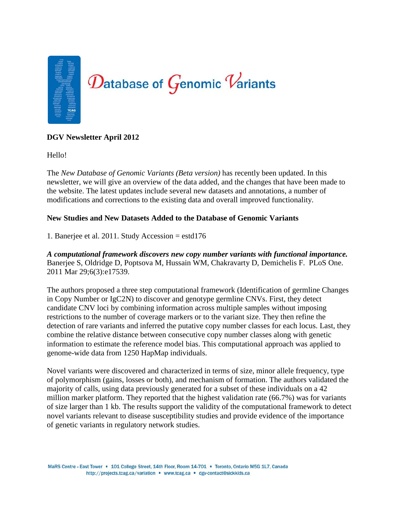

# **DGV Newsletter April 2012**

Hello!

The *New Database of Genomic Variants (Beta version)* has recently been updated. In this newsletter, we will give an overview of the data added, and the changes that have been made to the website. The latest updates include several new datasets and annotations, a number of modifications and corrections to the existing data and overall improved functionality.

## **New Studies and New Datasets Added to the Database of Genomic Variants**

1. Banerjee et al. 2011. Study Accession = estd176

*A computational framework discovers new copy number variants with functional importance.* Banerjee S, Oldridge D, Poptsova M, Hussain WM, Chakravarty D, Demichelis F. PLoS One. 2011 Mar 29;6(3):e17539.

The authors proposed a three step computational framework (Identification of germline Changes in Copy Number or IgC2N) to discover and genotype germline CNVs. First, they detect candidate CNV loci by combining information across multiple samples without imposing restrictions to the number of coverage markers or to the variant size. They then refine the detection of rare variants and inferred the putative copy number classes for each locus. Last, they combine the relative distance between consecutive copy number classes along with genetic information to estimate the reference model bias. This computational approach was applied to genome-wide data from 1250 HapMap individuals.

Novel variants were discovered and characterized in terms of size, minor allele frequency, type of polymorphism (gains, losses or both), and mechanism of formation. The authors validated the majority of calls, using data previously generated for a subset of these individuals on a 42 million marker platform. They reported that the highest validation rate (66.7%) was for variants of size larger than 1 kb. The results support the validity of the computational framework to detect novel variants relevant to disease susceptibility studies and provide evidence of the importance of genetic variants in regulatory network studies.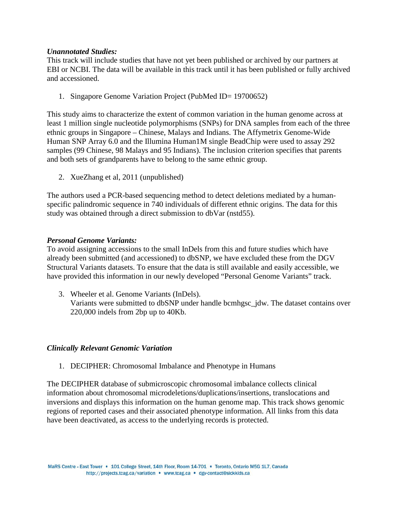### *Unannotated Studies:*

This track will include studies that have not yet been published or archived by our partners at EBI or NCBI. The data will be available in this track until it has been published or fully archived and accessioned.

1. Singapore Genome Variation Project (PubMed ID= 19700652)

This study aims to characterize the extent of common variation in the human genome across at least 1 million single nucleotide polymorphisms (SNPs) for DNA samples from each of the three ethnic groups in Singapore – Chinese, Malays and Indians. The Affymetrix Genome-Wide Human SNP Array 6.0 and the Illumina Human1M single BeadChip were used to assay 292 samples (99 Chinese, 98 Malays and 95 Indians). The inclusion criterion specifies that parents and both sets of grandparents have to belong to the same ethnic group.

2. XueZhang et al, 2011 (unpublished)

The authors used a PCR-based sequencing method to detect deletions mediated by a humanspecific palindromic sequence in 740 individuals of different ethnic origins. The data for this study was obtained through a direct submission to dbVar (nstd55).

## *Personal Genome Variants:*

To avoid assigning accessions to the small InDels from this and future studies which have already been submitted (and accessioned) to dbSNP, we have excluded these from the DGV Structural Variants datasets. To ensure that the data is still available and easily accessible, we have provided this information in our newly developed "Personal Genome Variants" track.

3. Wheeler et al. Genome Variants (InDels). Variants were submitted to dbSNP under handle bcmhgsc\_jdw. The dataset contains over 220,000 indels from 2bp up to 40Kb.

### *Clinically Relevant Genomic Variation*

1. DECIPHER: Chromosomal Imbalance and Phenotype in Humans

The DECIPHER database of submicroscopic chromosomal imbalance collects clinical information about chromosomal microdeletions/duplications/insertions, translocations and inversions and displays this information on the human genome map. This track shows genomic regions of reported cases and their associated phenotype information. All links from this data have been deactivated, as access to the underlying records is protected.